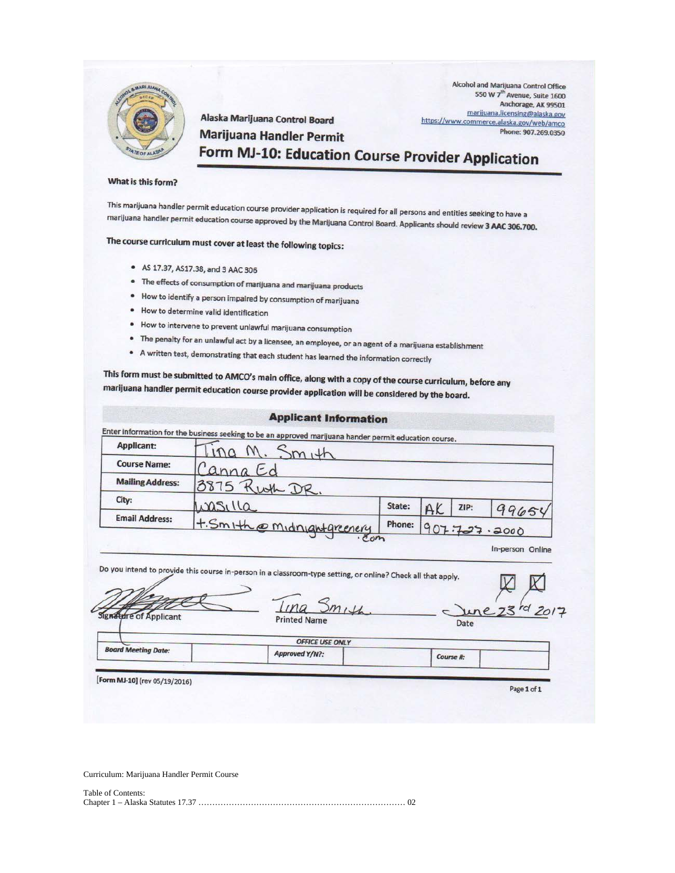

Alcohol and Marijuana Control Office 550 W 7<sup>th</sup> Avenue, Suite 1600 Anchorage, AK 99501 marijuana.licensing@alaska.gov https://www.commerce.alaska.gov/web/amco Phone: 907.269.0350

### **Marijuana Handler Permit** Form MJ-10: Education Course Provider Application

#### What is this form?

This marijuana handler permit education course provider application is required for all persons and entities seeking to have a marijuana handler permit education course approved by the Marijuana Control Board. Applicants should review 3 AAC 306.700.

### The course curriculum must cover at least the following topics:

- AS 17.37, AS17.38, and 3 AAC 306
- . The effects of consumption of marijuana and marijuana products

Alaska Marijuana Control Board

- . How to identify a person impaired by consumption of marijuana
- · How to determine valid identification
- . How to intervene to prevent unlawful marijuana consumption
- The penalty for an unlawful act by a licensee, an employee, or an agent of a marijuana establishment
- A written test, demonstrating that each student has learned the information correctly

This form must be submitted to AMCO's main office, along with a copy of the course curriculum, before any marijuana handler permit education course provider application will be considered by the board.

| <b>Applicant:</b>                                           | Enter information for the business seeking to be an approved marijuana hander permit education course.<br>SmH                                                            |        |    |      |                                  |  |
|-------------------------------------------------------------|--------------------------------------------------------------------------------------------------------------------------------------------------------------------------|--------|----|------|----------------------------------|--|
| <b>Course Name:</b>                                         | anna Ec                                                                                                                                                                  |        |    |      |                                  |  |
| <b>Mailing Address:</b>                                     | 3875 Kwth DR.                                                                                                                                                            |        |    |      |                                  |  |
| City:                                                       | wasilla                                                                                                                                                                  | State: | A. | ZIP: | 99654                            |  |
|                                                             |                                                                                                                                                                          |        |    |      |                                  |  |
| <b>Email Address:</b>                                       | +. Smith @ Midnightgreenery<br>$\sigma$ <sub>c</sub> $m$<br>Do you intend to provide this course in-person in a classroom-type setting, or online? Check all that apply. | Phone: |    |      | 907.727.2000<br>In-person Online |  |
|                                                             | Smith<br><b>Printed Name</b>                                                                                                                                             |        |    | Date | 73rd 2017                        |  |
| <b>Signature of Applicant</b><br><b>Board Meeting Date:</b> | <b>OFFICE USE ONLY</b>                                                                                                                                                   |        |    |      |                                  |  |

Curriculum: Marijuana Handler Permit Course

| Table of Contents: |  |
|--------------------|--|
|                    |  |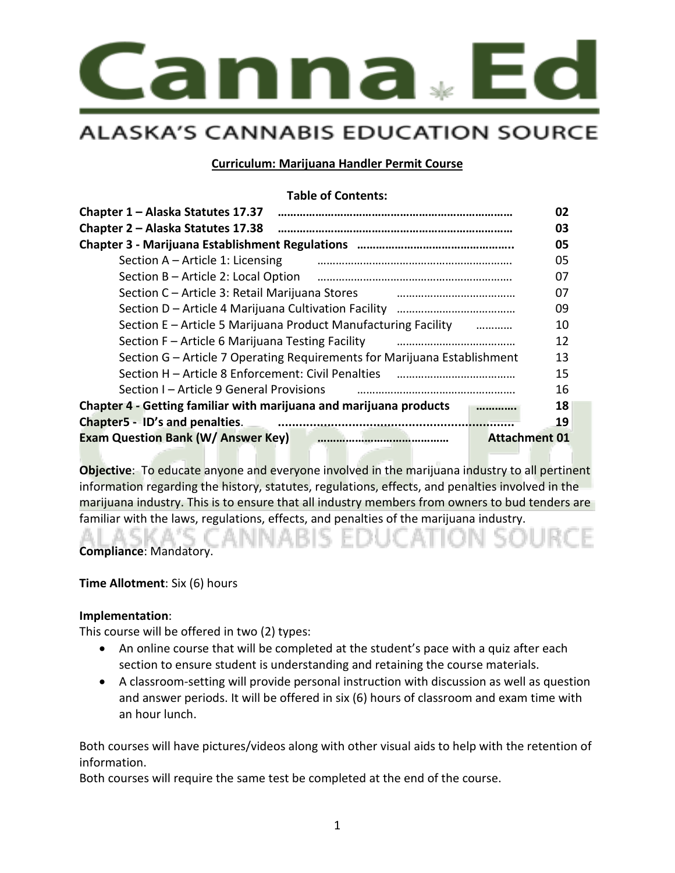

#### **Curriculum: Marijuana Handler Permit Course**

#### **Table of Contents:**

| Chapter 1 - Alaska Statutes 17.37                                          | 02 |
|----------------------------------------------------------------------------|----|
| Chapter 2 – Alaska Statutes 17.38                                          | 03 |
|                                                                            | 05 |
| Section A - Article 1: Licensing                                           | 05 |
| Section B - Article 2: Local Option                                        | 07 |
| Section C - Article 3: Retail Marijuana Stores                             | 07 |
| Section D - Article 4 Marijuana Cultivation Facility<br>                   | 09 |
| Section E – Article 5 Marijuana Product Manufacturing Facility<br>$\cdots$ | 10 |
| Section F - Article 6 Marijuana Testing Facility                           | 12 |
| Section G – Article 7 Operating Requirements for Marijuana Establishment   | 13 |
| Section H – Article 8 Enforcement: Civil Penalties                         | 15 |
| Section I – Article 9 General Provisions                                   | 16 |
| Chapter 4 - Getting familiar with marijuana and marijuana products         | 18 |
| Chapter5 - ID's and penalties.                                             | 19 |
| <b>Exam Question Bank (W/ Answer Key)</b><br><b>Attachment 01</b>          |    |

**Objective**: To educate anyone and everyone involved in the marijuana industry to all pertinent information regarding the history, statutes, regulations, effects, and penalties involved in the marijuana industry. This is to ensure that all industry members from owners to bud tenders are familiar with the laws, regulations, effects, and penalties of the marijuana industry.

**Compliance**: Mandatory.

**Time Allotment**: Six (6) hours

#### **Implementation**:

This course will be offered in two (2) types:

- An online course that will be completed at the student's pace with a quiz after each section to ensure student is understanding and retaining the course materials.
- A classroom-setting will provide personal instruction with discussion as well as question and answer periods. It will be offered in six (6) hours of classroom and exam time with an hour lunch.

Both courses will have pictures/videos along with other visual aids to help with the retention of information.

Both courses will require the same test be completed at the end of the course.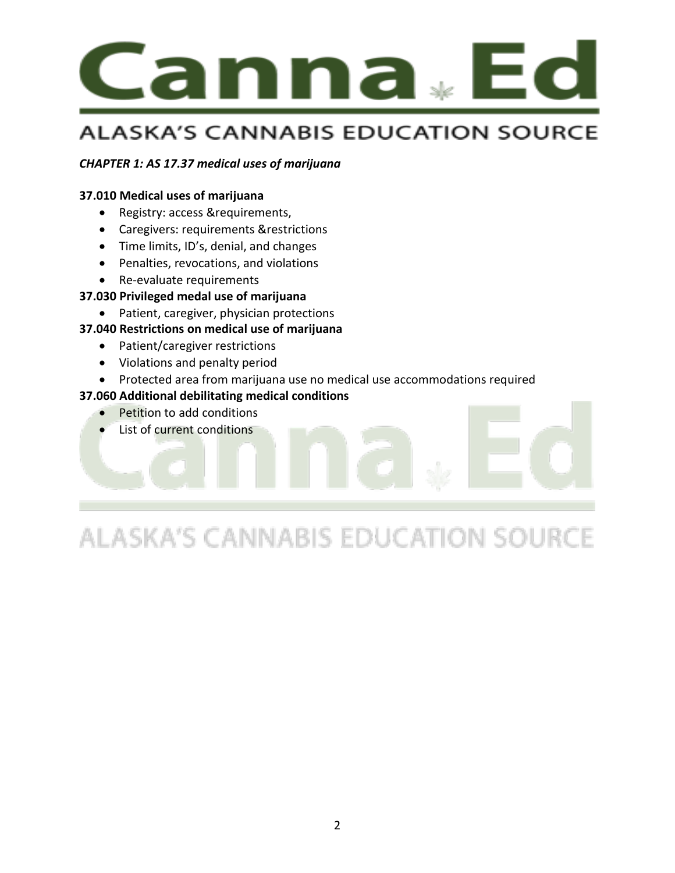

#### *CHAPTER 1: AS 17.37 medical uses of marijuana*

#### **37.010 Medical uses of marijuana**

- Registry: access &requirements,
- Caregivers: requirements &restrictions
- Time limits, ID's, denial, and changes
- Penalties, revocations, and violations
- Re-evaluate requirements

#### **37.030 Privileged medal use of marijuana**

• Patient, caregiver, physician protections

#### **37.040 Restrictions on medical use of marijuana**

- Patient/caregiver restrictions
- Violations and penalty period
- Protected area from marijuana use no medical use accommodations required

#### **37.060 Additional debilitating medical conditions**

- Petition to add conditions
- List of current conditions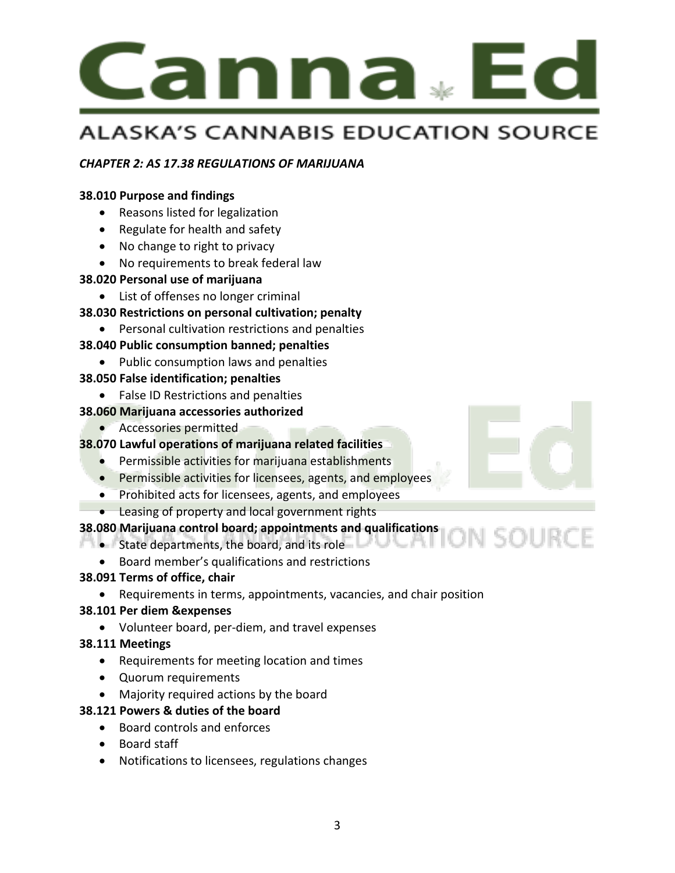

#### *CHAPTER 2: AS 17.38 REGULATIONS OF MARIJUANA*

#### **38.010 Purpose and findings**

- Reasons listed for legalization
- Regulate for health and safety
- No change to right to privacy
- No requirements to break federal law

#### **38.020 Personal use of marijuana**

- List of offenses no longer criminal
- **38.030 Restrictions on personal cultivation; penalty**
	- Personal cultivation restrictions and penalties

#### **38.040 Public consumption banned; penalties**

• Public consumption laws and penalties

#### **38.050 False identification; penalties**

• False ID Restrictions and penalties

#### **38.060 Marijuana accessories authorized**

• Accessories permitted

#### **38.070 Lawful operations of marijuana related facilities**

- Permissible activities for marijuana establishments
- Permissible activities for licensees, agents, and employees
- Prohibited acts for licensees, agents, and employees
- Leasing of property and local government rights

#### **38.080 Marijuana control board; appointments and qualifications**

- State departments, the board, and its role
	- Board member's qualifications and restrictions

#### **38.091 Terms of office, chair**

• Requirements in terms, appointments, vacancies, and chair position

#### **38.101 Per diem &expenses**

• Volunteer board, per-diem, and travel expenses

#### **38.111 Meetings**

- Requirements for meeting location and times
- Quorum requirements
- Majority required actions by the board

#### **38.121 Powers & duties of the board**

- Board controls and enforces
- Board staff
- Notifications to licensees, regulations changes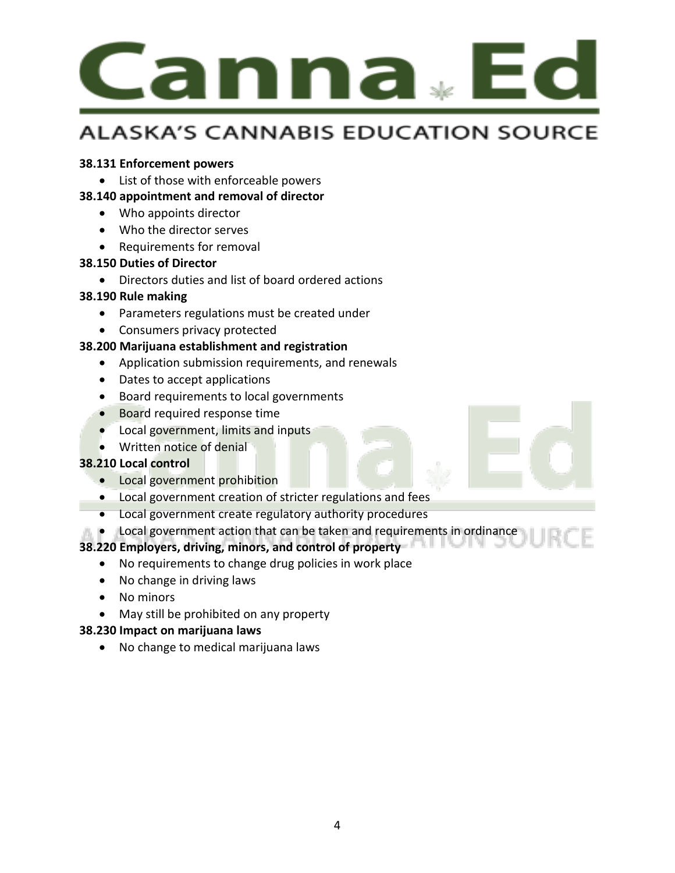

#### **38.131 Enforcement powers**

- List of those with enforceable powers
- **38.140 appointment and removal of director**
	- Who appoints director
	- Who the director serves
	- Requirements for removal

#### **38.150 Duties of Director**

• Directors duties and list of board ordered actions

#### **38.190 Rule making**

- Parameters regulations must be created under
- Consumers privacy protected

#### **38.200 Marijuana establishment and registration**

- Application submission requirements, and renewals
- Dates to accept applications
- Board requirements to local governments
- Board required response time
- Local government, limits and inputs
- Written notice of denial

#### **38.210 Local control**

- Local government prohibition
- Local government creation of stricter regulations and fees
- Local government create regulatory authority procedures
- Local government action that can be taken and requirements in ordinance

#### **38.220 Employers, driving, minors, and control of property**

- No requirements to change drug policies in work place
- No change in driving laws
- No minors
- May still be prohibited on any property

#### **38.230 Impact on marijuana laws**

• No change to medical marijuana laws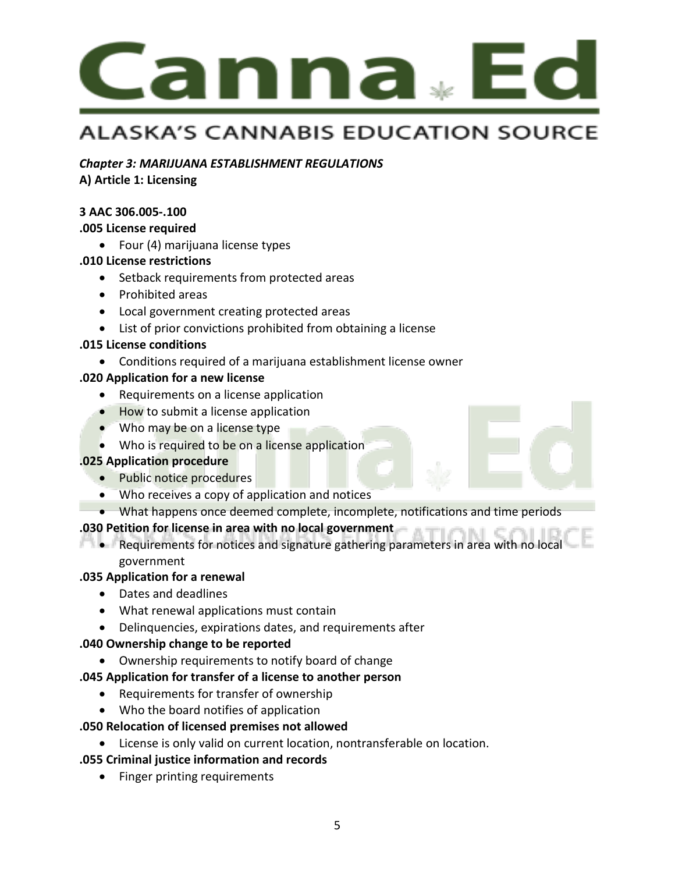

#### *Chapter 3: MARIJUANA ESTABLISHMENT REGULATIONS*

**A) Article 1: Licensing**

#### **3 AAC 306.005-.100**

#### **.005 License required**

• Four (4) marijuana license types

#### **.010 License restrictions**

- Setback requirements from protected areas
- Prohibited areas
- Local government creating protected areas
- List of prior convictions prohibited from obtaining a license

#### **.015 License conditions**

• Conditions required of a marijuana establishment license owner

#### **.020 Application for a new license**

- Requirements on a license application
- How to submit a license application
- Who may be on a license type
- Who is required to be on a license application

#### **.025 Application procedure**

- Public notice procedures
- Who receives a copy of application and notices
- What happens once deemed complete, incomplete, notifications and time periods

#### **.030 Petition for license in area with no local government**

• Requirements for notices and signature gathering parameters in area with no local government

#### **.035 Application for a renewal**

- Dates and deadlines
- What renewal applications must contain
- Delinquencies, expirations dates, and requirements after

#### **.040 Ownership change to be reported**

• Ownership requirements to notify board of change

#### **.045 Application for transfer of a license to another person**

- Requirements for transfer of ownership
- Who the board notifies of application

#### **.050 Relocation of licensed premises not allowed**

• License is only valid on current location, nontransferable on location.

#### **.055 Criminal justice information and records**

• Finger printing requirements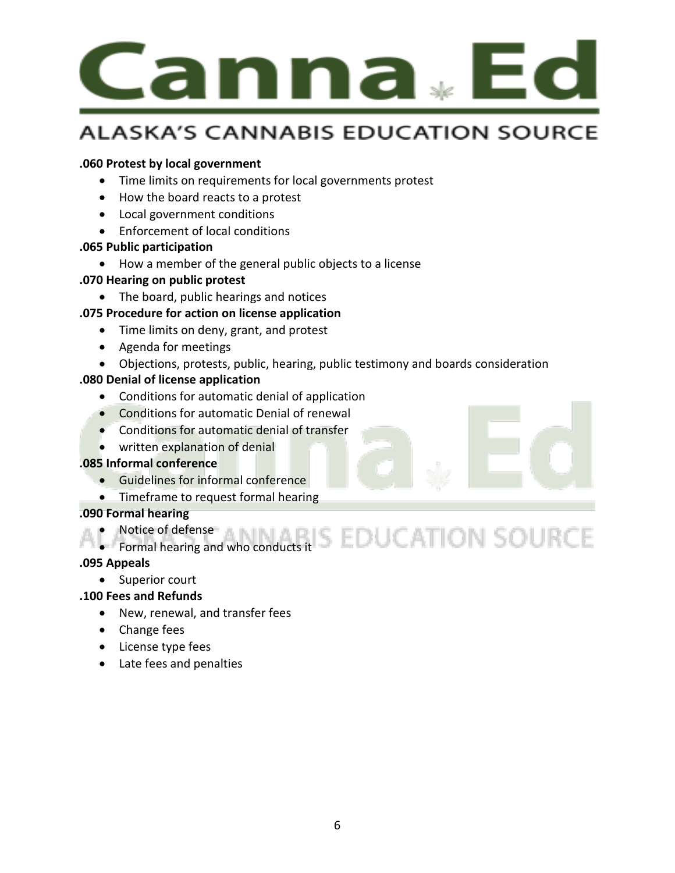

#### **.060 Protest by local government**

- Time limits on requirements for local governments protest
- How the board reacts to a protest
- Local government conditions
- Enforcement of local conditions

#### **.065 Public participation**

• How a member of the general public objects to a license

#### **.070 Hearing on public protest**

• The board, public hearings and notices

#### **.075 Procedure for action on license application**

- Time limits on deny, grant, and protest
- Agenda for meetings
- Objections, protests, public, hearing, public testimony and boards consideration

#### **.080 Denial of license application**

- Conditions for automatic denial of application
- Conditions for automatic Denial of renewal
- Conditions for automatic denial of transfer
- written explanation of denial

#### **.085 Informal conference**

- Guidelines for informal conference
- Timeframe to request formal hearing

#### **.090 Formal hearing**

- Notice of defense
- Notice of defense<br>• Formal hearing and who conducts it  $\textsf{EDUCATION}$  SOURCE

#### **.095 Appeals**

• Superior court

#### **.100 Fees and Refunds**

- New, renewal, and transfer fees
- Change fees
- License type fees
- Late fees and penalties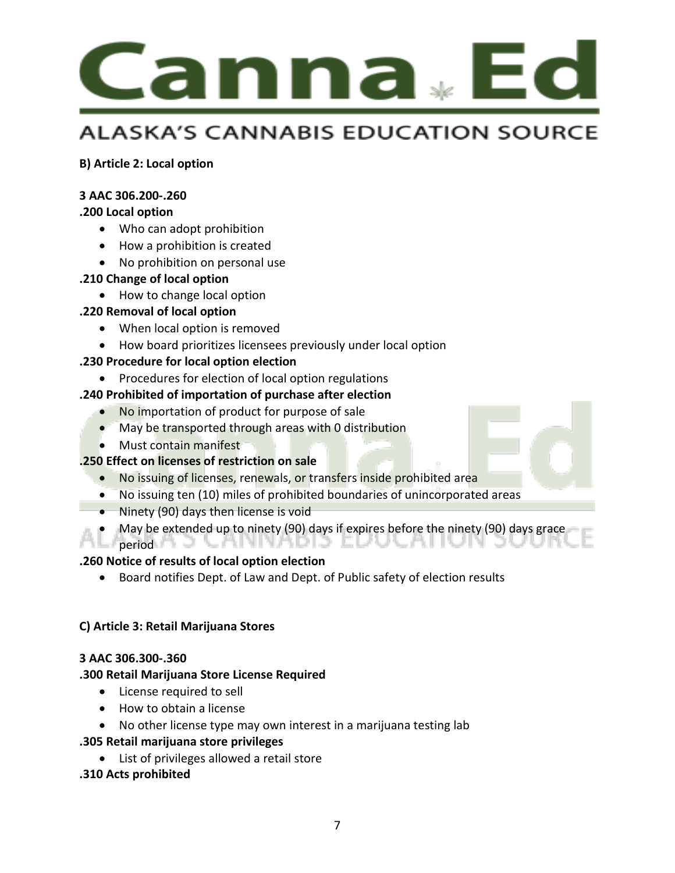

**B) Article 2: Local option**

#### **3 AAC 306.200-.260**

#### **.200 Local option**

- Who can adopt prohibition
- How a prohibition is created
- No prohibition on personal use

#### **.210 Change of local option**

• How to change local option

#### **.220 Removal of local option**

- When local option is removed
- How board prioritizes licensees previously under local option

#### **.230 Procedure for local option election**

#### • Procedures for election of local option regulations

#### **.240 Prohibited of importation of purchase after election**

- No importation of product for purpose of sale
- May be transported through areas with 0 distribution
- Must contain manifest

#### **.250 Effect on licenses of restriction on sale**

- No issuing of licenses, renewals, or transfers inside prohibited area
- No issuing ten (10) miles of prohibited boundaries of unincorporated areas
- Ninety (90) days then license is void
- May be extended up to ninety (90) days if expires before the ninety (90) days grace
- $period A$   $\supset$   $\subset$   $A$   $N$   $N$   $A$   $D$   $D$   $\supset$   $\subset$   $D$   $\cup$   $C$   $A$   $\cap$   $\cup$   $N$

#### **.260 Notice of results of local option election**

• Board notifies Dept. of Law and Dept. of Public safety of election results

#### **C) Article 3: Retail Marijuana Stores**

#### **3 AAC 306.300-.360**

#### **.300 Retail Marijuana Store License Required**

- License required to sell
- How to obtain a license
- No other license type may own interest in a marijuana testing lab

#### **.305 Retail marijuana store privileges**

• List of privileges allowed a retail store

#### **.310 Acts prohibited**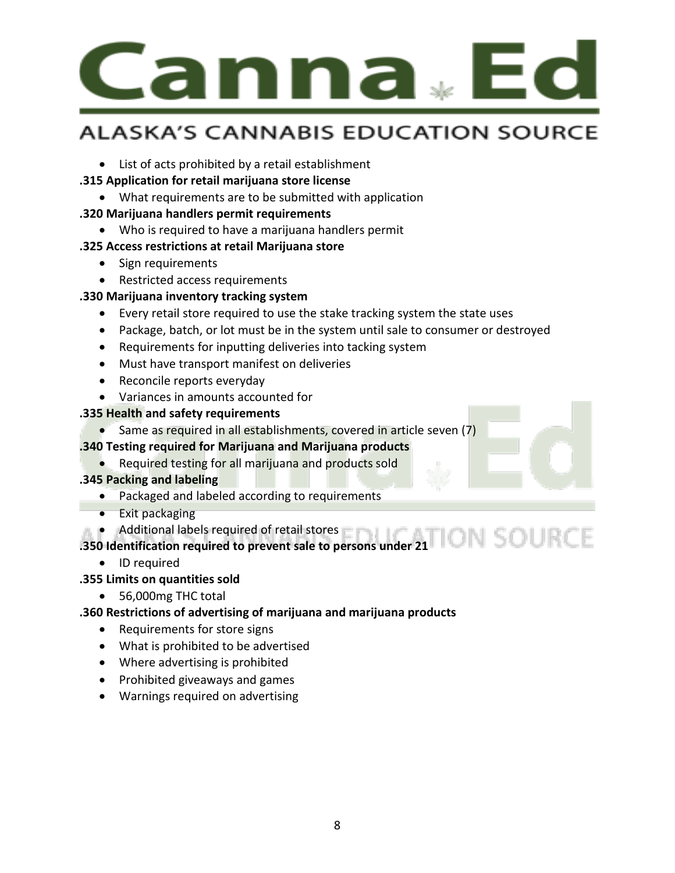# .anna

### **ALASKA'S CANNABIS EDUCATION SOURCE**

• List of acts prohibited by a retail establishment

#### **.315 Application for retail marijuana store license**

- What requirements are to be submitted with application
- **.320 Marijuana handlers permit requirements** 
	- Who is required to have a marijuana handlers permit

#### **.325 Access restrictions at retail Marijuana store**

- Sign requirements
- Restricted access requirements

#### **.330 Marijuana inventory tracking system**

- Every retail store required to use the stake tracking system the state uses
- Package, batch, or lot must be in the system until sale to consumer or destroyed
- Requirements for inputting deliveries into tacking system
- Must have transport manifest on deliveries
- Reconcile reports everyday
- Variances in amounts accounted for

#### **.335 Health and safety requirements**

• Same as required in all establishments, covered in article seven (7)

#### **.340 Testing required for Marijuana and Marijuana products**

• Required testing for all marijuana and products sold

#### **.345 Packing and labeling**

- Packaged and labeled according to requirements
- Exit packaging
- Additional labels required of retail stores

#### **.350 Identification required to prevent sale to persons under 21**

- ID required
- **.355 Limits on quantities sold**
	- 56,000mg THC total

#### **.360 Restrictions of advertising of marijuana and marijuana products**

- Requirements for store signs
- What is prohibited to be advertised
- Where advertising is prohibited
- Prohibited giveaways and games
- Warnings required on advertising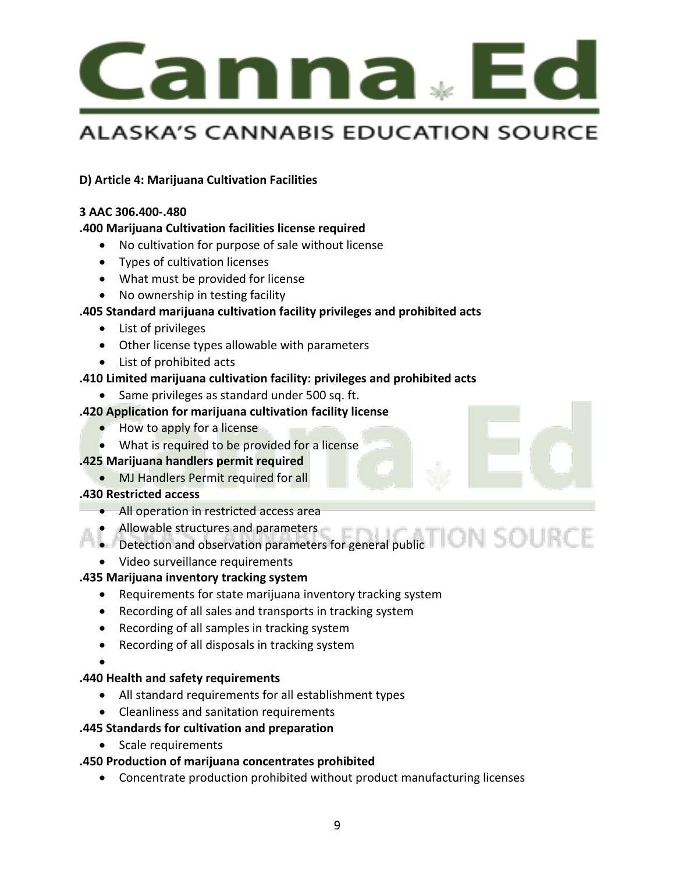

#### **D) Article 4: Marijuana Cultivation Facilities**

#### **3 AAC 306.400-.480**

#### **.400 Marijuana Cultivation facilities license required**

- No cultivation for purpose of sale without license
- Types of cultivation licenses
- What must be provided for license
- No ownership in testing facility

#### **.405 Standard marijuana cultivation facility privileges and prohibited acts**

- List of privileges
- Other license types allowable with parameters
- List of prohibited acts

#### **.410 Limited marijuana cultivation facility: privileges and prohibited acts**

• Same privileges as standard under 500 sq. ft.

#### **.420 Application for marijuana cultivation facility license**

- How to apply for a license
- What is required to be provided for a license

#### **.425 Marijuana handlers permit required**

• MJ Handlers Permit required for all

#### **.430 Restricted access**

- All operation in restricted access area
- Allowable structures and parameters
- Detection and observation parameters for general public
- Video surveillance requirements

#### **.435 Marijuana inventory tracking system**

- Requirements for state marijuana inventory tracking system
- Recording of all sales and transports in tracking system
- Recording of all samples in tracking system
- Recording of all disposals in tracking system
- •

#### **.440 Health and safety requirements**

- All standard requirements for all establishment types
- Cleanliness and sanitation requirements

#### **.445 Standards for cultivation and preparation**

• Scale requirements

#### **.450 Production of marijuana concentrates prohibited**

• Concentrate production prohibited without product manufacturing licenses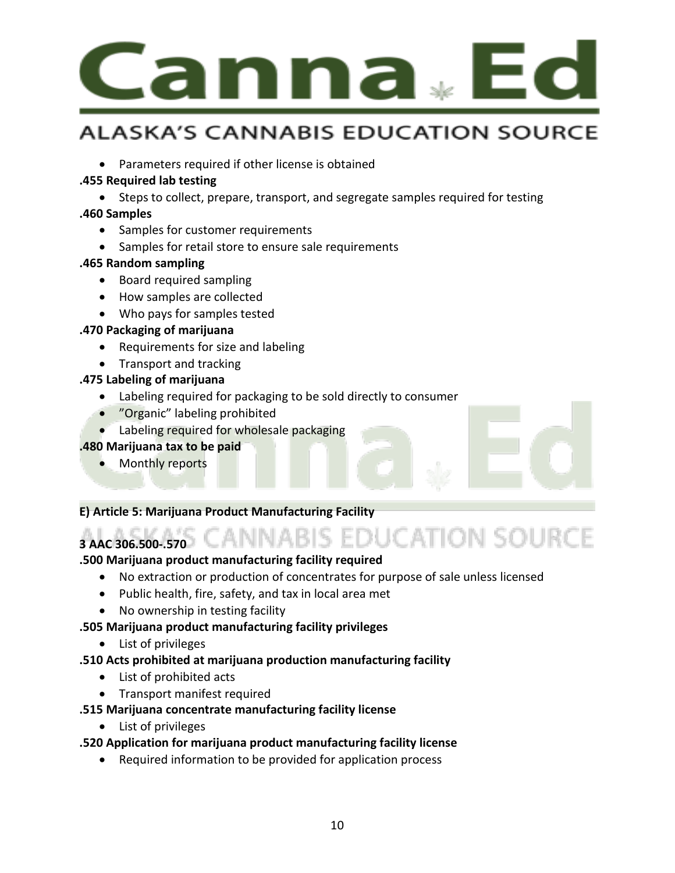

• Parameters required if other license is obtained

#### **.455 Required lab testing**

• Steps to collect, prepare, transport, and segregate samples required for testing

#### **.460 Samples**

- Samples for customer requirements
- Samples for retail store to ensure sale requirements

#### **.465 Random sampling**

- Board required sampling
- How samples are collected
- Who pays for samples tested

#### **.470 Packaging of marijuana**

- Requirements for size and labeling
- Transport and tracking

#### **.475 Labeling of marijuana**

- Labeling required for packaging to be sold directly to consumer
- "Organic" labeling prohibited
- Labeling required for wholesale packaging

#### **.480 Marijuana tax to be paid**

• Monthly reports

#### **E) Article 5: Marijuana Product Manufacturing Facility**

#### **3 AAC 306.500-.570**

#### **.500 Marijuana product manufacturing facility required**

• No extraction or production of concentrates for purpose of sale unless licensed

BIS EDUCATION SOURCE

- Public health, fire, safety, and tax in local area met
- No ownership in testing facility

#### **.505 Marijuana product manufacturing facility privileges**

• List of privileges

#### **.510 Acts prohibited at marijuana production manufacturing facility**

- List of prohibited acts
- Transport manifest required

#### **.515 Marijuana concentrate manufacturing facility license**

• List of privileges

#### **.520 Application for marijuana product manufacturing facility license**

• Required information to be provided for application process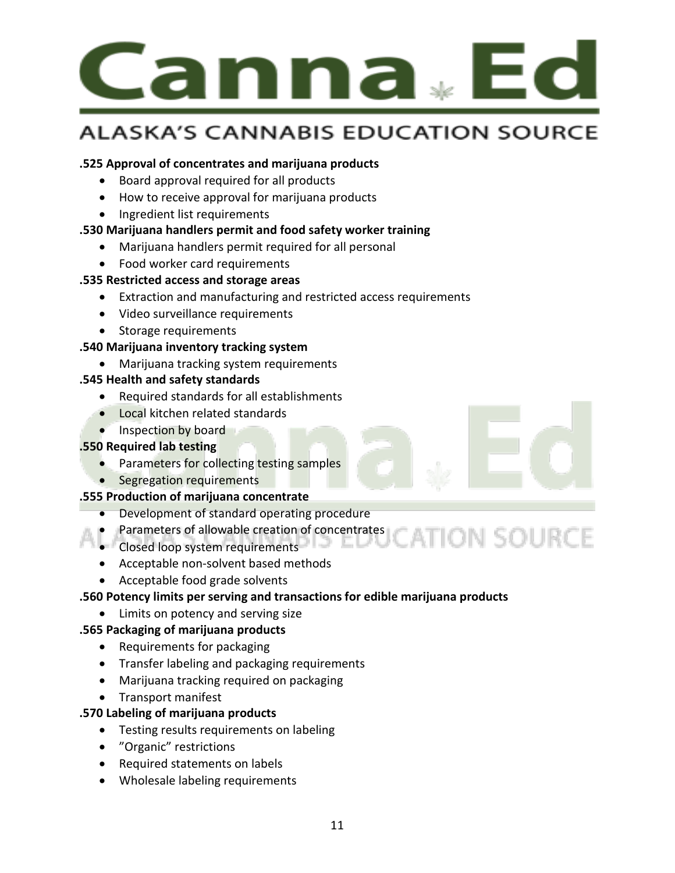

#### **.525 Approval of concentrates and marijuana products**

- Board approval required for all products
- How to receive approval for marijuana products
- Ingredient list requirements

#### **.530 Marijuana handlers permit and food safety worker training**

- Marijuana handlers permit required for all personal
- Food worker card requirements

#### **.535 Restricted access and storage areas**

- Extraction and manufacturing and restricted access requirements
- Video surveillance requirements
- Storage requirements

#### **.540 Marijuana inventory tracking system**

• Marijuana tracking system requirements

#### **.545 Health and safety standards**

- Required standards for all establishments
- Local kitchen related standards
- Inspection by board

#### **.550 Required lab testing**

- Parameters for collecting testing samples
- Segregation requirements

#### **.555 Production of marijuana concentrate**

- Development of standard operating procedure
- Bevelopment of allowable creation of concentrates
- Closed loop system requirements
- Acceptable non-solvent based methods
- Acceptable food grade solvents

#### **.560 Potency limits per serving and transactions for edible marijuana products**

• Limits on potency and serving size

#### **.565 Packaging of marijuana products**

- Requirements for packaging
- Transfer labeling and packaging requirements
- Marijuana tracking required on packaging
- Transport manifest

#### **.570 Labeling of marijuana products**

- Testing results requirements on labeling
- "Organic" restrictions
- Required statements on labels
- Wholesale labeling requirements



**ION SOURCE**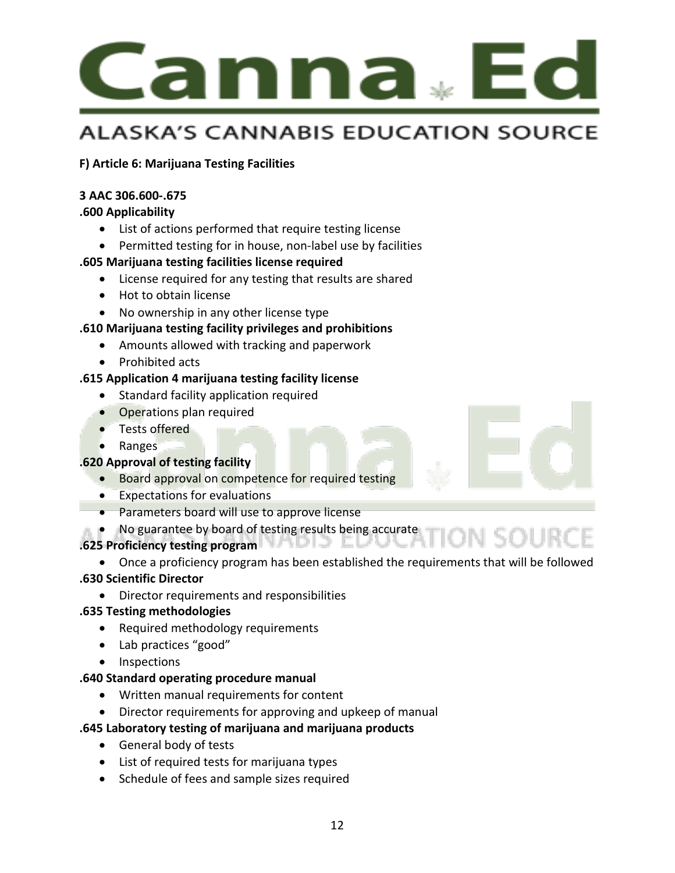

#### **F) Article 6: Marijuana Testing Facilities**

#### **3 AAC 306.600-.675**

#### **.600 Applicability**

- List of actions performed that require testing license
- Permitted testing for in house, non-label use by facilities

#### **.605 Marijuana testing facilities license required**

- License required for any testing that results are shared
- Hot to obtain license
- No ownership in any other license type

#### **.610 Marijuana testing facility privileges and prohibitions**

- Amounts allowed with tracking and paperwork
- Prohibited acts

#### **.615 Application 4 marijuana testing facility license**

- Standard facility application required
- Operations plan required
- Tests offered
- Ranges

#### **.620 Approval of testing facility**

- Board approval on competence for required testing
- Expectations for evaluations
- Parameters board will use to approve license
- No guarantee by board of testing results being accurate

#### **.625 Proficiency testing program**

• Once a proficiency program has been established the requirements that will be followed

#### **.630 Scientific Director**

• Director requirements and responsibilities

#### **.635 Testing methodologies**

- Required methodology requirements
- Lab practices "good"
- Inspections

#### **.640 Standard operating procedure manual**

- Written manual requirements for content
- Director requirements for approving and upkeep of manual

#### **.645 Laboratory testing of marijuana and marijuana products**

- General body of tests
- List of required tests for marijuana types
- Schedule of fees and sample sizes required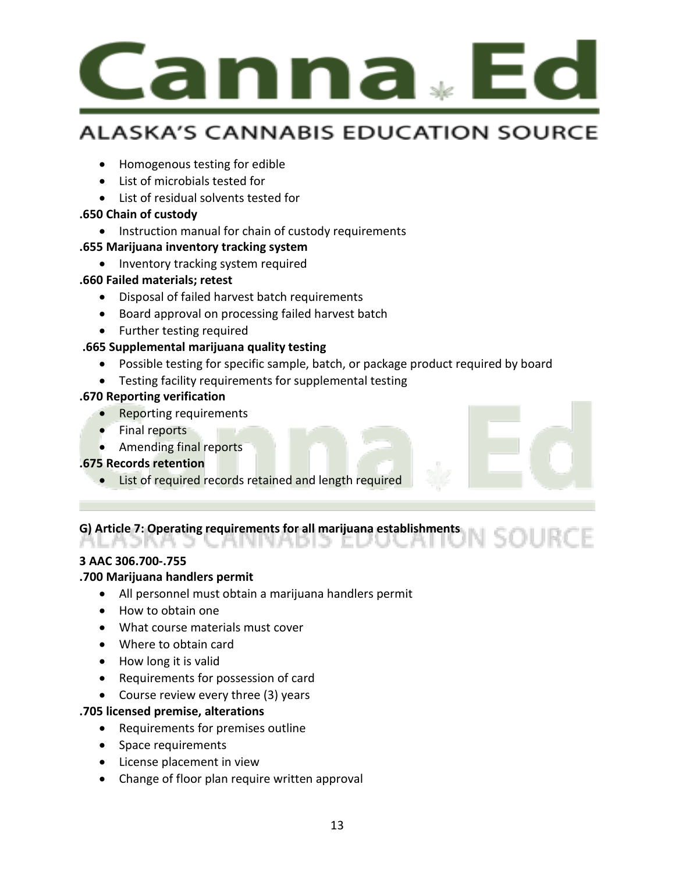

- Homogenous testing for edible
- List of microbials tested for
- List of residual solvents tested for

#### **.650 Chain of custody**

• Instruction manual for chain of custody requirements

#### **.655 Marijuana inventory tracking system**

• Inventory tracking system required

#### **.660 Failed materials; retest**

- Disposal of failed harvest batch requirements
- Board approval on processing failed harvest batch
- Further testing required

#### **.665 Supplemental marijuana quality testing**

- Possible testing for specific sample, batch, or package product required by board
- Testing facility requirements for supplemental testing

#### **.670 Reporting verification**

- Reporting requirements
- Final reports
- Amending final reports

#### **.675 Records retention**

• List of required records retained and length required

# **G) Article 7: Operating requirements for all marijuana establishments**

#### **3 AAC 306.700-.755**

#### **.700 Marijuana handlers permit**

- All personnel must obtain a marijuana handlers permit
- How to obtain one
- What course materials must cover
- Where to obtain card
- How long it is valid
- Requirements for possession of card
- Course review every three (3) years

#### **.705 licensed premise, alterations**

- Requirements for premises outline
- Space requirements
- License placement in view
- Change of floor plan require written approval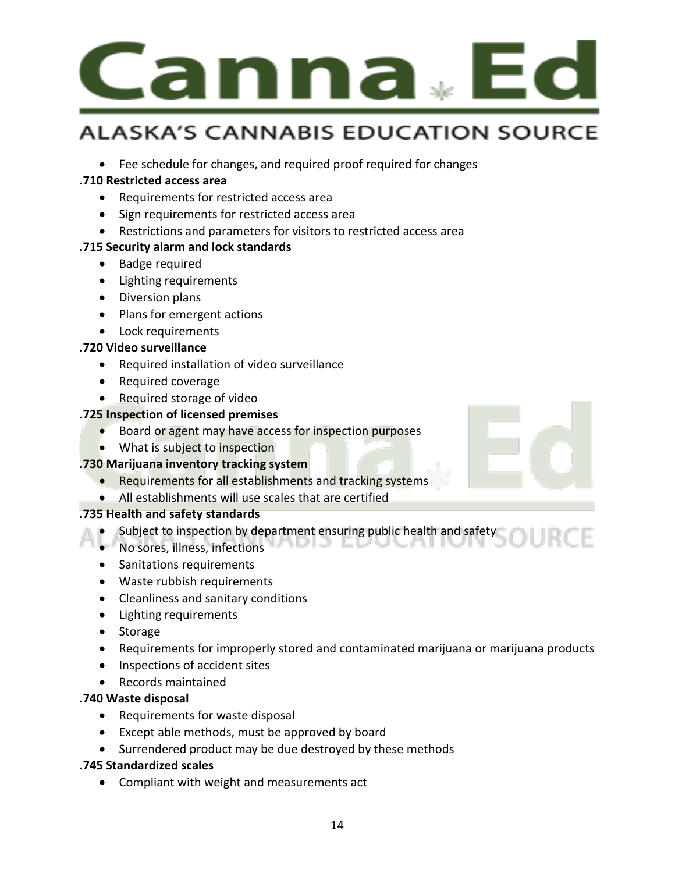

• Fee schedule for changes, and required proof required for changes

#### **.710 Restricted access area**

- Requirements for restricted access area
- Sign requirements for restricted access area
- Restrictions and parameters for visitors to restricted access area

#### **.715 Security alarm and lock standards**

- Badge required
- Lighting requirements
- Diversion plans
- Plans for emergent actions
- Lock requirements

#### **.720 Video surveillance**

- Required installation of video surveillance
- Required coverage
- Required storage of video

#### **.725 Inspection of licensed premises**

- Board or agent may have access for inspection purposes
- What is subject to inspection

#### **.730 Marijuana inventory tracking system**

- Requirements for all establishments and tracking systems
- All establishments will use scales that are certified

#### **.735 Health and safety standards**

- Subject to inspection by department ensuring public health and safety
- No sores, illness, infections
- Sanitations requirements
- Waste rubbish requirements
- Cleanliness and sanitary conditions
- Lighting requirements
- Storage
- Requirements for improperly stored and contaminated marijuana or marijuana products
- Inspections of accident sites
- Records maintained

#### **.740 Waste disposal**

- Requirements for waste disposal
- Except able methods, must be approved by board
- Surrendered product may be due destroyed by these methods

#### **.745 Standardized scales**

• Compliant with weight and measurements act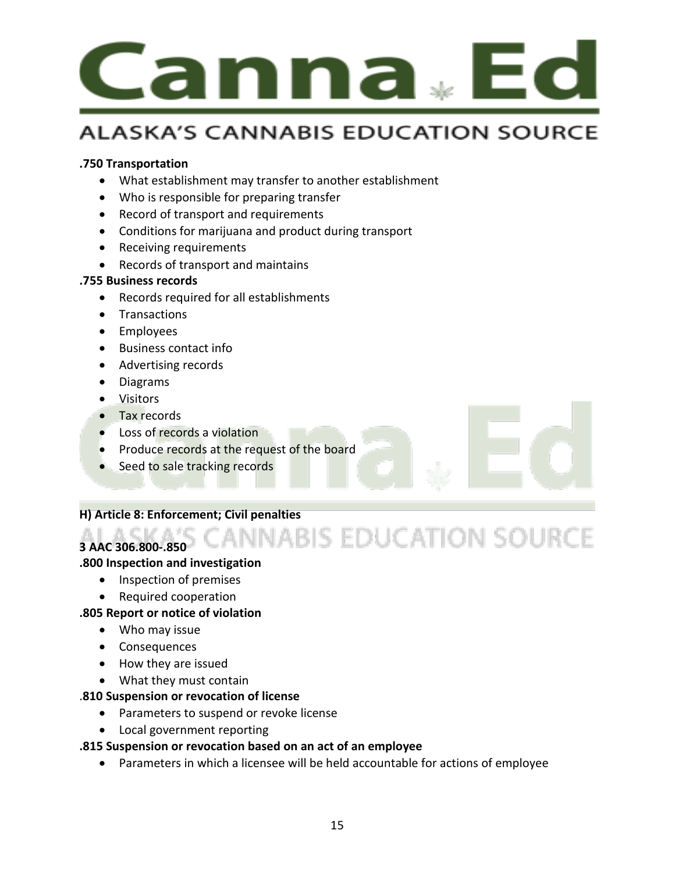

#### **.750 Transportation**

- What establishment may transfer to another establishment
- Who is responsible for preparing transfer
- Record of transport and requirements
- Conditions for marijuana and product during transport
- Receiving requirements
- Records of transport and maintains

#### **.755 Business records**

- Records required for all establishments
- Transactions
- Employees
- Business contact info
- Advertising records
- Diagrams
- Visitors
- Tax records
- Loss of records a violation
- Produce records at the request of the board
- Seed to sale tracking records

#### **H) Article 8: Enforcement; Civil penalties**

#### **3 AAC 306.800-.850**

#### **.800 Inspection and investigation**

- Inspection of premises
- Required cooperation

#### **.805 Report or notice of violation**

- Who may issue
- Consequences
- How they are issued
- What they must contain

#### .**810 Suspension or revocation of license**

- Parameters to suspend or revoke license
- Local government reporting

#### **.815 Suspension or revocation based on an act of an employee**

• Parameters in which a licensee will be held accountable for actions of employee

**INABIS EDUCATION SOURCE**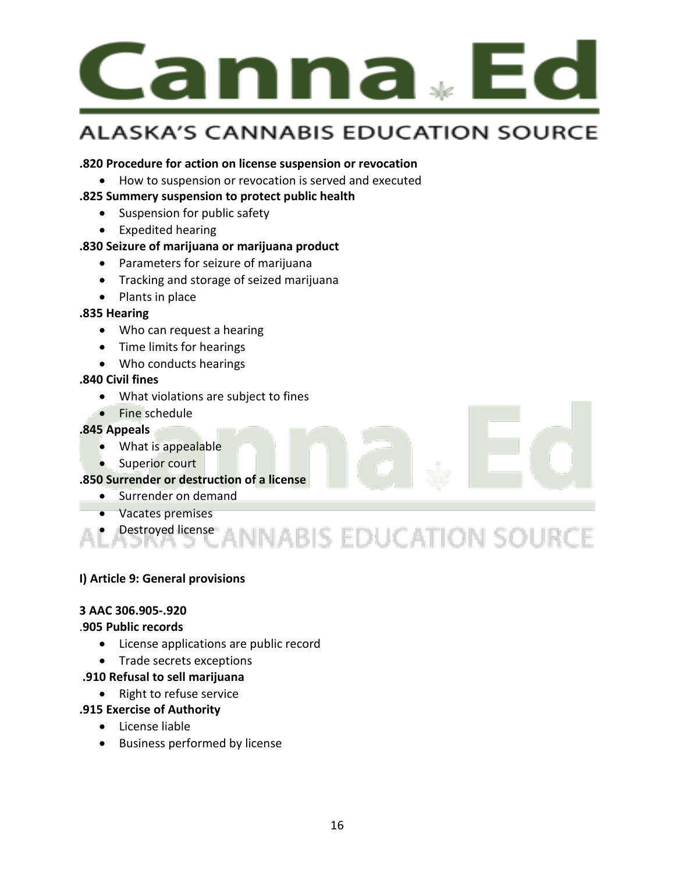

#### **.820 Procedure for action on license suspension or revocation**

• How to suspension or revocation is served and executed

#### **.825 Summery suspension to protect public health**

- Suspension for public safety
- Expedited hearing

#### **.830 Seizure of marijuana or marijuana product**

- Parameters for seizure of marijuana
- Tracking and storage of seized marijuana
- Plants in place

#### **.835 Hearing**

- Who can request a hearing
- Time limits for hearings
- Who conducts hearings

#### **.840 Civil fines**

- What violations are subject to fines
- Fine schedule

#### **.845 Appeals**

- What is appealable
- Superior court

#### **.850 Surrender or destruction of a license**

- Surrender on demand
- Vacates premises

# **Pestroyed license**<br>
ASKA'S CANNABIS EDUCATION SOURCE

#### **I) Article 9: General provisions**

#### **3 AAC 306.905-.920**

#### .**905 Public records**

- License applications are public record
- Trade secrets exceptions
- **.910 Refusal to sell marijuana**
	- Right to refuse service

#### **.915 Exercise of Authority**

- License liable
- Business performed by license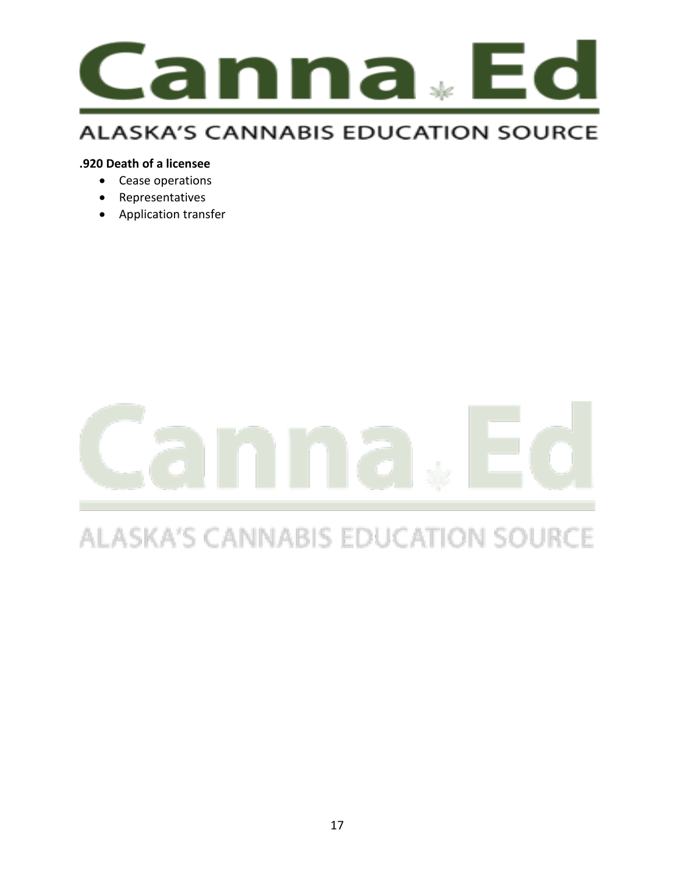

#### **.920 Death of a licensee**

- Cease operations
- Representatives
- Application transfer

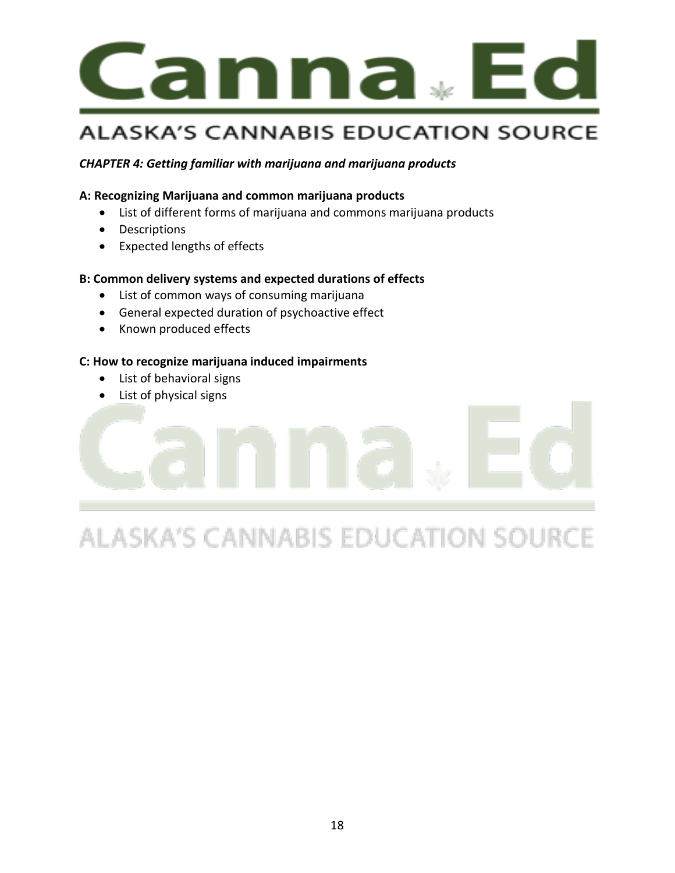

#### *CHAPTER 4: Getting familiar with marijuana and marijuana products*

#### **A: Recognizing Marijuana and common marijuana products**

- List of different forms of marijuana and commons marijuana products
- Descriptions
- Expected lengths of effects

#### **B: Common delivery systems and expected durations of effects**

- List of common ways of consuming marijuana
- General expected duration of psychoactive effect
- Known produced effects

#### **C: How to recognize marijuana induced impairments**

- List of behavioral signs
- List of physical signs

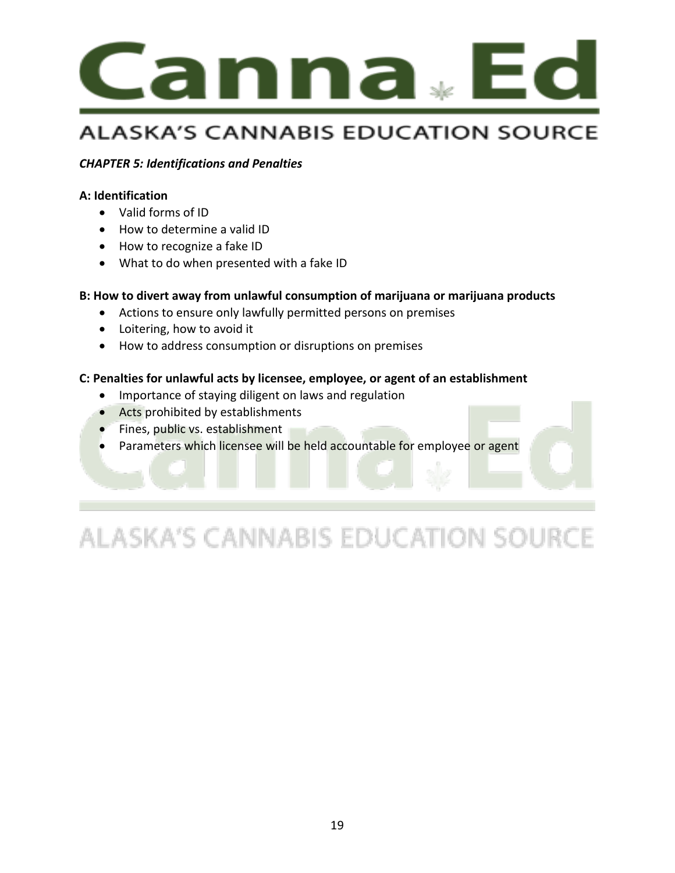

#### *CHAPTER 5: Identifications and Penalties*

#### **A: Identification**

- Valid forms of ID
- How to determine a valid ID
- How to recognize a fake ID
- What to do when presented with a fake ID

#### **B: How to divert away from unlawful consumption of marijuana or marijuana products**

- Actions to ensure only lawfully permitted persons on premises
- Loitering, how to avoid it
- How to address consumption or disruptions on premises

#### **C: Penalties for unlawful acts by licensee, employee, or agent of an establishment**

- Importance of staying diligent on laws and regulation
- Acts prohibited by establishments
- **•** Fines, public vs. establishment
- Parameters which licensee will be held accountable for employee or agent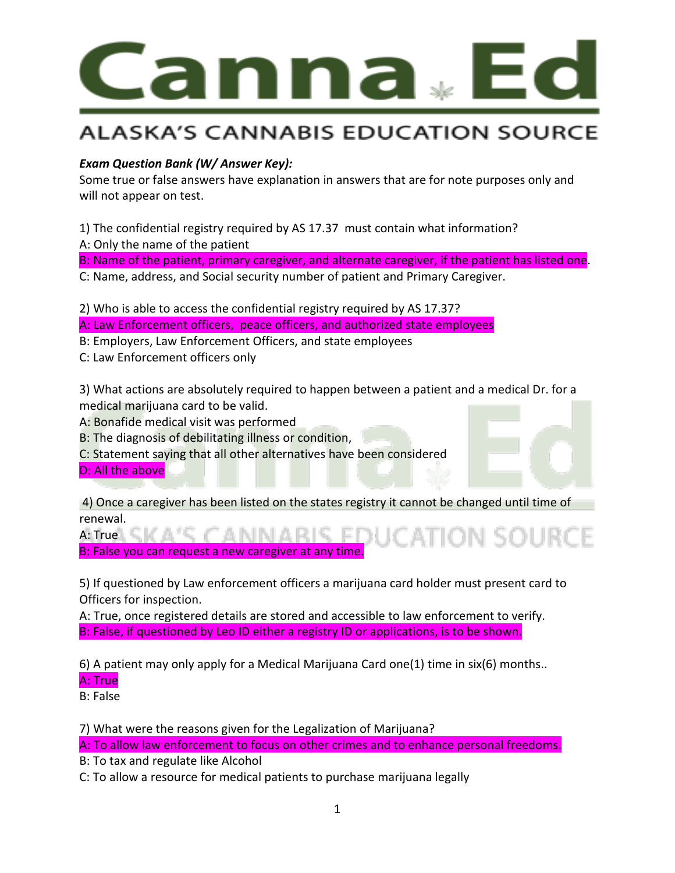

#### *Exam Question Bank (W/ Answer Key):*

Some true or false answers have explanation in answers that are for note purposes only and will not appear on test.

1) The confidential registry required by AS 17.37 must contain what information? A: Only the name of the patient

B: Name of the patient, primary caregiver, and alternate caregiver, if the patient has listed one.

C: Name, address, and Social security number of patient and Primary Caregiver.

2) Who is able to access the confidential registry required by AS 17.37?

A: Law Enforcement officers, peace officers, and authorized state employees

B: Employers, Law Enforcement Officers, and state employees

C: Law Enforcement officers only

3) What actions are absolutely required to happen between a patient and a medical Dr. for a medical marijuana card to be valid.

A: Bonafide medical visit was performed

B: The diagnosis of debilitating illness or condition,

C: Statement saying that all other alternatives have been considered

D: All the above

4) Once a caregiver has been listed on the states registry it cannot be changed until time of renewal.

A: True \ C | K | A ' C | C | A | N | A | R | C B: False you can request a new caregiver at any time.

5) If questioned by Law enforcement officers a marijuana card holder must present card to Officers for inspection.

A: True, once registered details are stored and accessible to law enforcement to verify. B: False, if questioned by Leo ID either a registry ID or applications, is to be shown.

6) A patient may only apply for a Medical Marijuana Card one(1) time in six(6) months..

#### A: True

B: False

7) What were the reasons given for the Legalization of Marijuana?

A: To allow law enforcement to focus on other crimes and to enhance personal freedoms.

B: To tax and regulate like Alcohol

C: To allow a resource for medical patients to purchase marijuana legally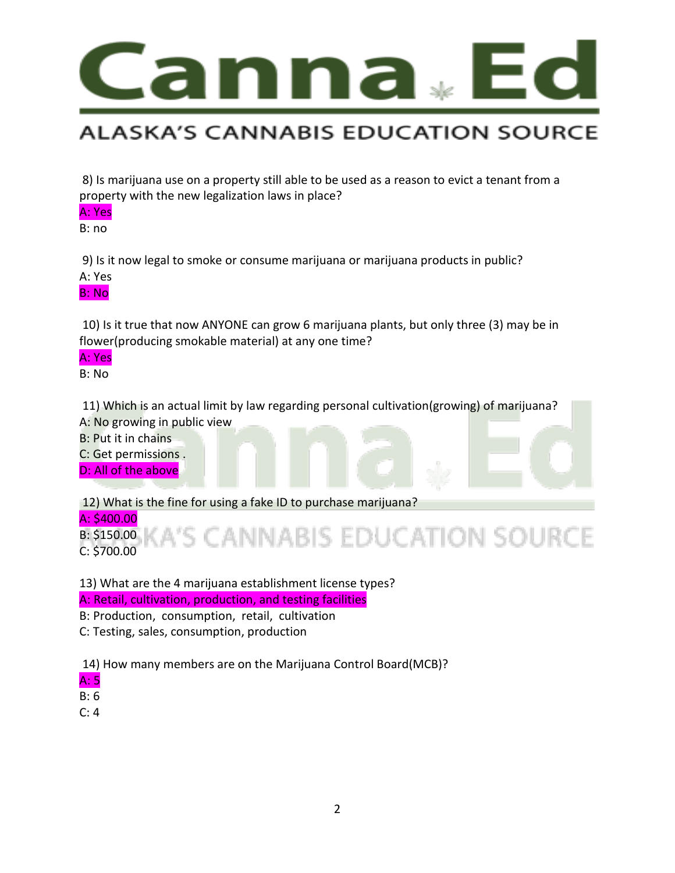

8) Is marijuana use on a property still able to be used as a reason to evict a tenant from a property with the new legalization laws in place?

A: Yes

B: no

9) Is it now legal to smoke or consume marijuana or marijuana products in public?

A: Yes

B: No

10) Is it true that now ANYONE can grow 6 marijuana plants, but only three (3) may be in flower(producing smokable material) at any one time?

A: Yes

B: No

11) Which is an actual limit by law regarding personal cultivation(growing) of marijuana? A: No growing in public view

B: Put it in chains

C: Get permissions .

D: All of the above

12) What is the fine for using a fake ID to purchase marijuana?

A: \$400.00

CANNABIS EDUCATION SOURCE B: \$150.00 C: \$700.00

13) What are the 4 marijuana establishment license types? A: Retail, cultivation, production, and testing facilities

B: Production, consumption, retail, cultivation

C: Testing, sales, consumption, production

14) How many members are on the Marijuana Control Board(MCB)?

A: 5

B: 6

C: 4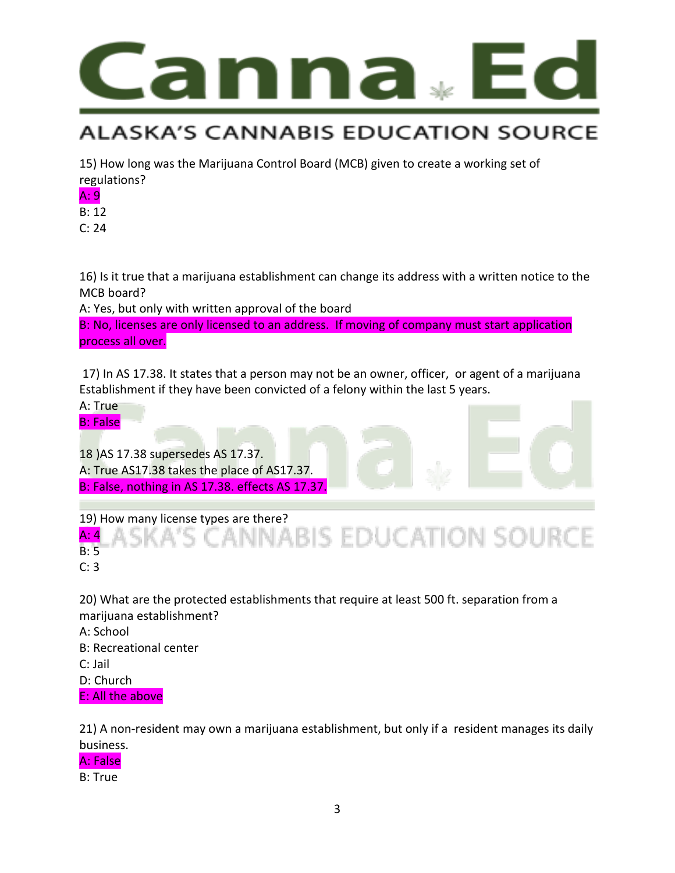

15) How long was the Marijuana Control Board (MCB) given to create a working set of regulations?

A: 9

B: 12

C: 24

16) Is it true that a marijuana establishment can change its address with a written notice to the MCB board?

A: Yes, but only with written approval of the board

B: No, licenses are only licensed to an address. If moving of company must start application process all over.

17) In AS 17.38. It states that a person may not be an owner, officer, or agent of a marijuana Establishment if they have been convicted of a felony within the last 5 years.

A: True B: False

l 18 )AS 17.38 supersedes AS 17.37. A: True AS17.38 takes the place of AS17.37. B: False, nothing in AS 17.38. effects AS 17.37.

19) How many license types are there?<br>A: 4 A S K A' S C A N N A B I S E D U C AT I O N S O U R C E A: 4 B: 5

C: 3

20) What are the protected establishments that require at least 500 ft. separation from a marijuana establishment? A: School B: Recreational center C: Jail D: Church E: All the above

21) A non-resident may own a marijuana establishment, but only if a resident manages its daily business.

A: False

B: True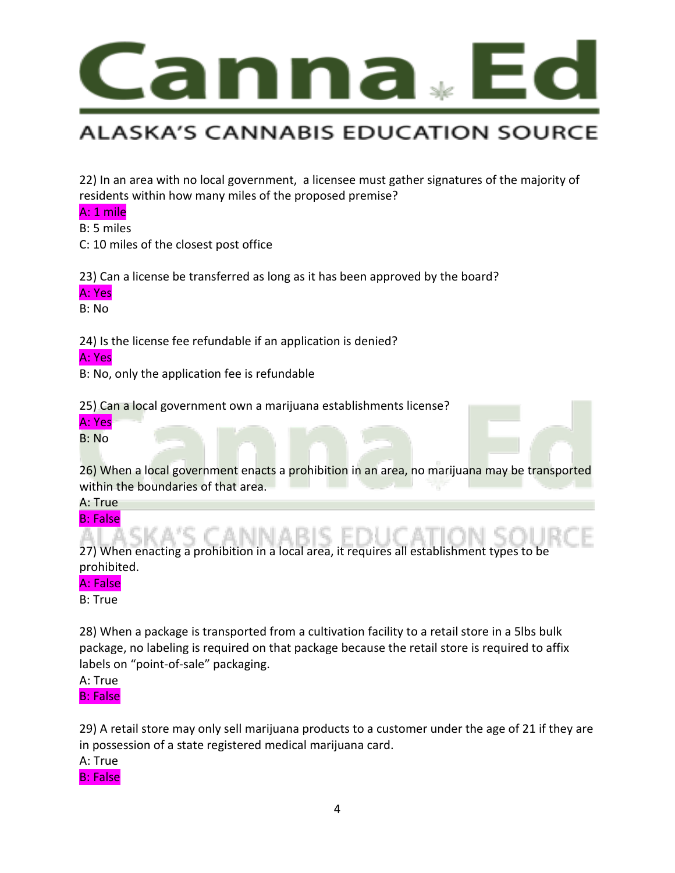

22) In an area with no local government, a licensee must gather signatures of the majority of residents within how many miles of the proposed premise?

#### A: 1 mile

B: 5 miles

C: 10 miles of the closest post office

23) Can a license be transferred as long as it has been approved by the board?

#### A: Yes

B: No

24) Is the license fee refundable if an application is denied?

#### A: Yes

B: No, only the application fee is refundable

25) Can a local government own a marijuana establishments license?

A: Yes

B: No

26) When a local government enacts a prohibition in an area, no marijuana may be transported within the boundaries of that area.

A: True

B: False

27) When enacting a prohibition in a local area, it requires all establishment types to be prohibited.

#### A: False

B: True

28) When a package is transported from a cultivation facility to a retail store in a 5lbs bulk package, no labeling is required on that package because the retail store is required to affix labels on "point-of-sale" packaging.

A: True B: False

29) A retail store may only sell marijuana products to a customer under the age of 21 if they are in possession of a state registered medical marijuana card.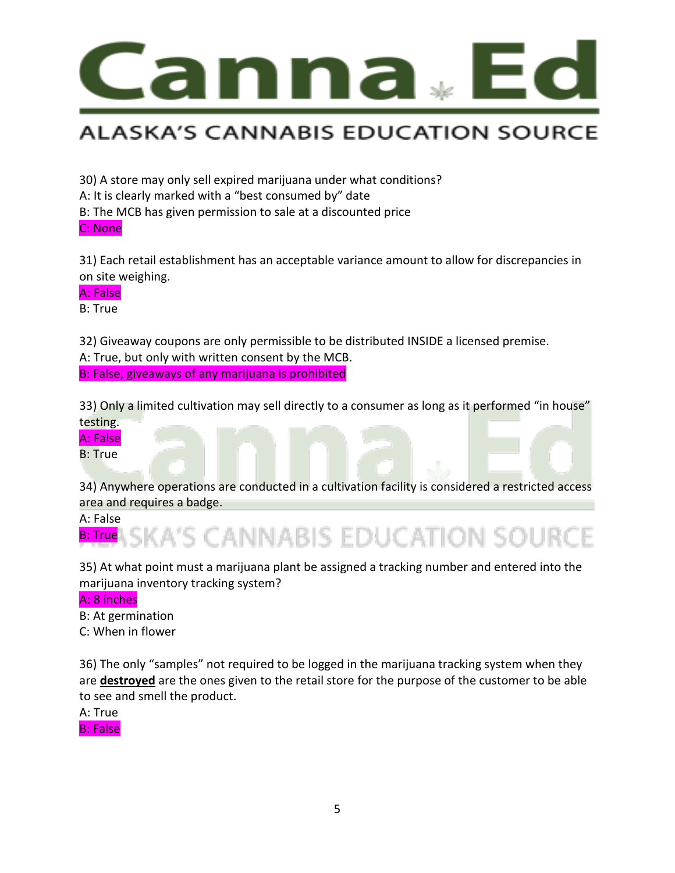

30) A store may only sell expired marijuana under what conditions?

A: It is clearly marked with a "best consumed by" date

B: The MCB has given permission to sale at a discounted price

C: None

31) Each retail establishment has an acceptable variance amount to allow for discrepancies in on site weighing.

#### A: False

B: True

32) Giveaway coupons are only permissible to be distributed INSIDE a licensed premise. A: True, but only with written consent by the MCB.

B: False, giveaways of any marijuana is prohibited

33) Only a limited cultivation may sell directly to a consumer as long as it performed "in house" testing.

#### A: False

B: True

34) Anywhere operations are conducted in a cultivation facility is considered a restricted access area and requires a badge.



35) At what point must a marijuana plant be assigned a tracking number and entered into the marijuana inventory tracking system?

#### A: 8 inches

B: At germination C: When in flower

36) The only "samples" not required to be logged in the marijuana tracking system when they are **destroyed** are the ones given to the retail store for the purpose of the customer to be able to see and smell the product.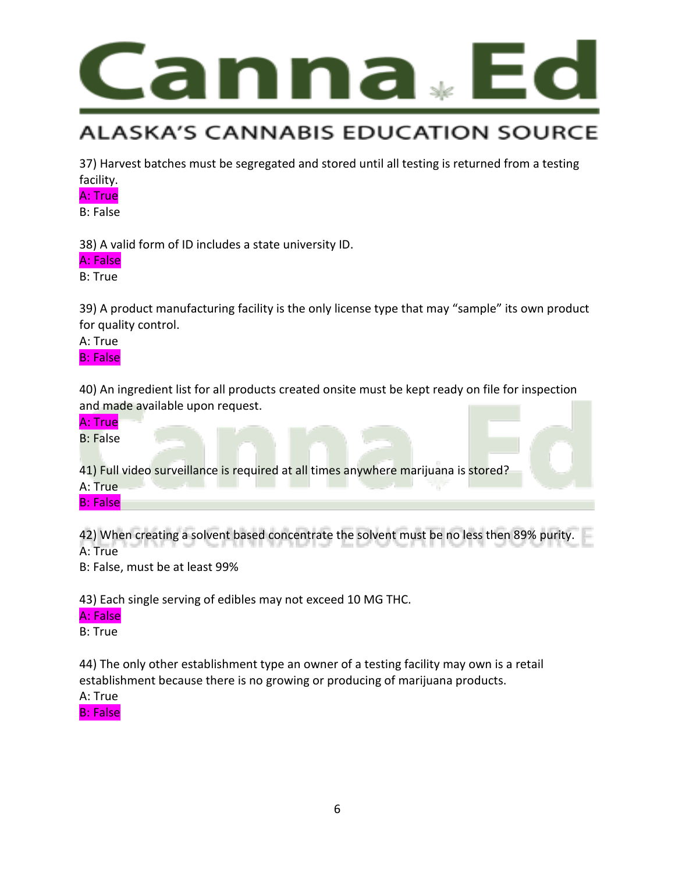

37) Harvest batches must be segregated and stored until all testing is returned from a testing facility.

#### A: True

B: False

38) A valid form of ID includes a state university ID.

A: False

B: True

39) A product manufacturing facility is the only license type that may "sample" its own product for quality control.

A: True

B: False

40) An ingredient list for all products created onsite must be kept ready on file for inspection and made available upon request.



42) When creating a solvent based concentrate the solvent must be no less then 89% purity. A: True

B: False, must be at least 99%

43) Each single serving of edibles may not exceed 10 MG THC.

#### A: False

B: True

44) The only other establishment type an owner of a testing facility may own is a retail establishment because there is no growing or producing of marijuana products.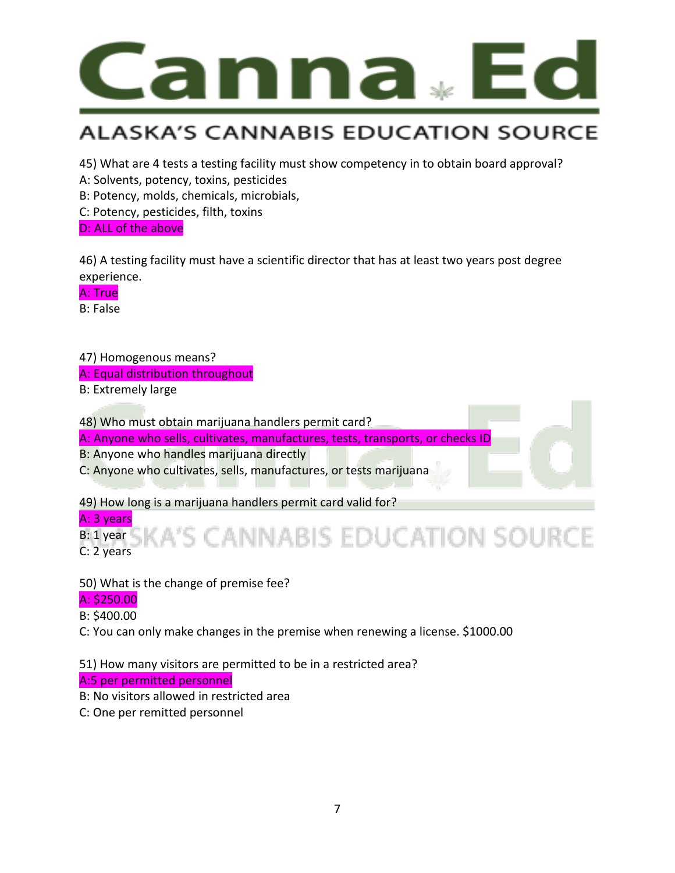

45) What are 4 tests a testing facility must show competency in to obtain board approval?

A: Solvents, potency, toxins, pesticides

B: Potency, molds, chemicals, microbials,

C: Potency, pesticides, filth, toxins

D: ALL of the above

46) A testing facility must have a scientific director that has at least two years post degree experience.

A: True

B: False

47) Homogenous means?

A: Equal distribution throughout

B: Extremely large

48) Who must obtain marijuana handlers permit card?

A: Anyone who sells, cultivates, manufactures, tests, transports, or checks ID

B: Anyone who handles marijuana directly

C: Anyone who cultivates, sells, manufactures, or tests marijuana

49) How long is a marijuana handlers permit card valid for?

A: 3 years **ANNABIS EDUCATION SOURCE** B: 1 year C: 2 years

50) What is the change of premise fee?

#### A: \$250.00

B: \$400.00

C: You can only make changes in the premise when renewing a license. \$1000.00

51) How many visitors are permitted to be in a restricted area?

A:5 per permitted personnel

B: No visitors allowed in restricted area

C: One per remitted personnel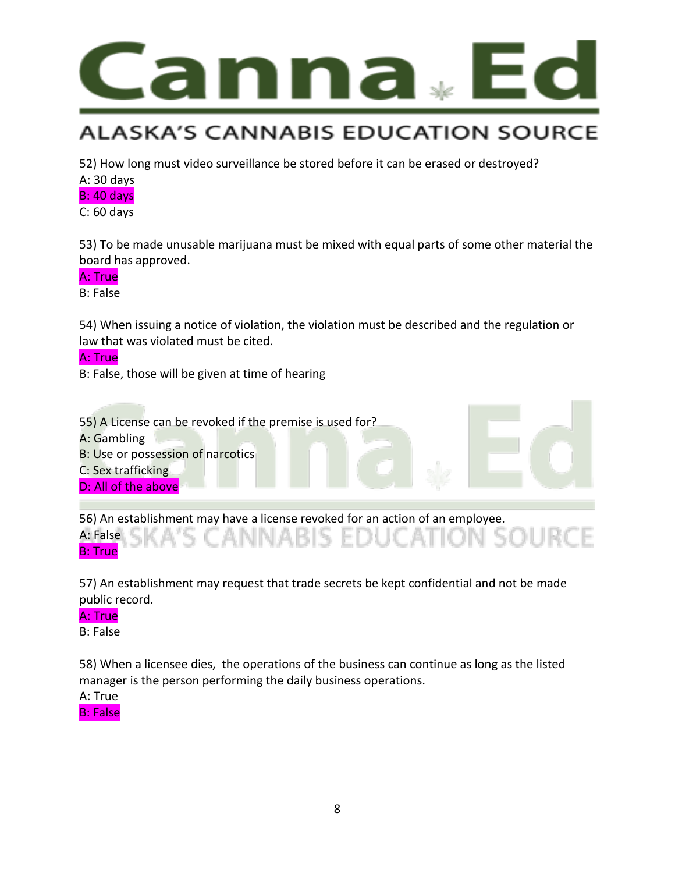

52) How long must video surveillance be stored before it can be erased or destroyed?

#### A: 30 days

#### B: 40 days

C: 60 days

53) To be made unusable marijuana must be mixed with equal parts of some other material the board has approved.

#### A: True

B: False

54) When issuing a notice of violation, the violation must be described and the regulation or law that was violated must be cited.

#### A: True

B: False, those will be given at time of hearing



56) An establishment may have a license revoked for an action of an employee. A: False B: True

57) An establishment may request that trade secrets be kept confidential and not be made public record.

#### A: True

B: False

58) When a licensee dies, the operations of the business can continue as long as the listed manager is the person performing the daily business operations.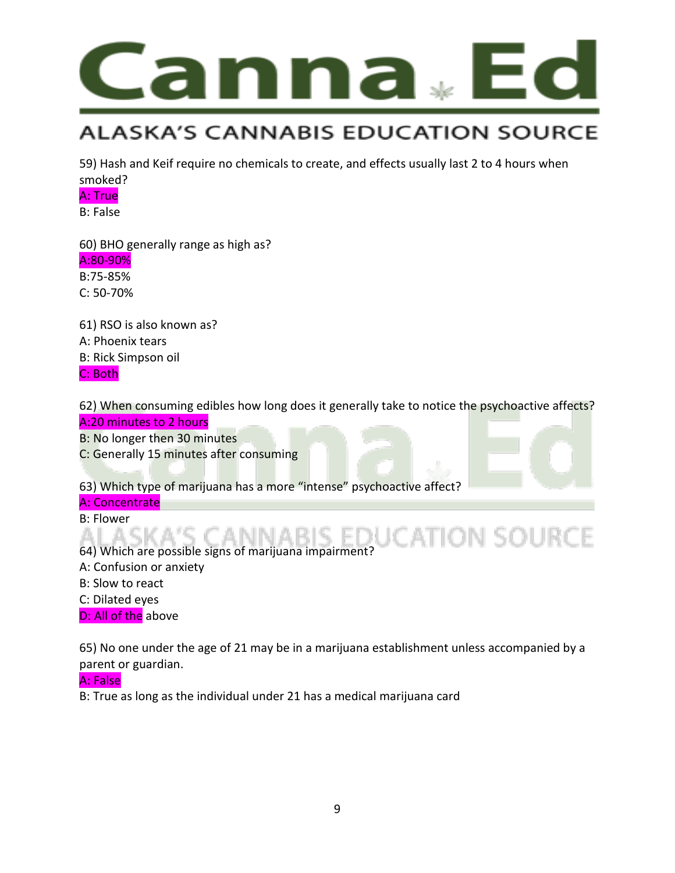

59) Hash and Keif require no chemicals to create, and effects usually last 2 to 4 hours when smoked?

#### A: True

B: False

60) BHO generally range as high as?

#### A:80-90%

B:75-85% C: 50-70%

61) RSO is also known as? A: Phoenix tears B: Rick Simpson oil C: Both

62) When consuming edibles how long does it generally take to notice the psychoactive affects? A:20 minutes to 2 hours

B: No longer then 30 minutes

C: Generally 15 minutes after consuming

63) Which type of marijuana has a more "intense" psychoactive affect?

#### A: Concentrate

B: Flower

#### **ATION SOURCE** AI A CI

64) Which are possible signs of marijuana impairment?

- A: Confusion or anxiety
- B: Slow to react
- C: Dilated eyes

D: All of the above

65) No one under the age of 21 may be in a marijuana establishment unless accompanied by a parent or guardian.

#### A: False

B: True as long as the individual under 21 has a medical marijuana card